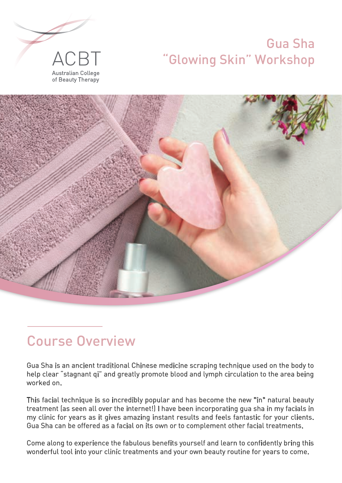## Gua Sha "Glowing Skin" Workshop





# Course Overview

Gua Sha is an ancient traditional Chinese medicine scraping technique used on the body to help clear "stagnant qi" and greatly promote blood and lymph circulation to the area being worked on.

This facial technique is so incredibly popular and has become the new "in" natural beauty treatment (as seen all over the internet!) I have been incorporating gua sha in my facials in my clinic for years as it gives amazing instant results and feels fantastic for your clients. Gua Sha can be offered as a facial on its own or to complement other facial treatments.

Come along to experience the fabulous benefits yourself and learn to confidently bring this wonderful tool into your clinic treatments and your own beauty routine for years to come.